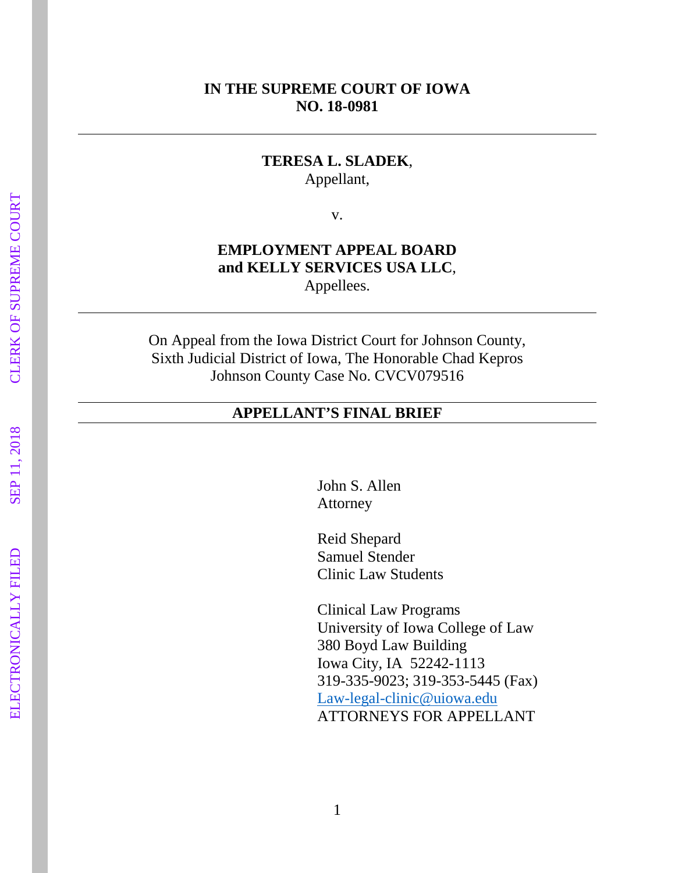#### **IN THE SUPREME COURT OF IOWA NO. 18 -0981**

#### **TERESA L. SLADEK** , Appellant,

v.

#### **EMPLOYMENT APPEAL BOARD and KELLY SERVICES USA LLC** , Appellees.

On Appeal from the Iowa District Court for Johnson County, Sixth Judicial District of Iowa, The Honorable Chad Kepros Johnson County Case No. CVCV079516

#### **APPELLANT'S FINAL BRIEF**

John S. Allen Attorney

Reid Shepard Samuel Stender Clinic Law Students

Clinical Law Programs University of Iowa College of Law 380 Boyd Law Building Iowa City, IA 52242 -1113 319 -335 -9023; 319 -353 -5445 (Fax) Law -legal [-clinic@uiowa.edu](mailto:Law-legal-clinic@uiowa.edu) ATTORNEYS FOR APPELLANT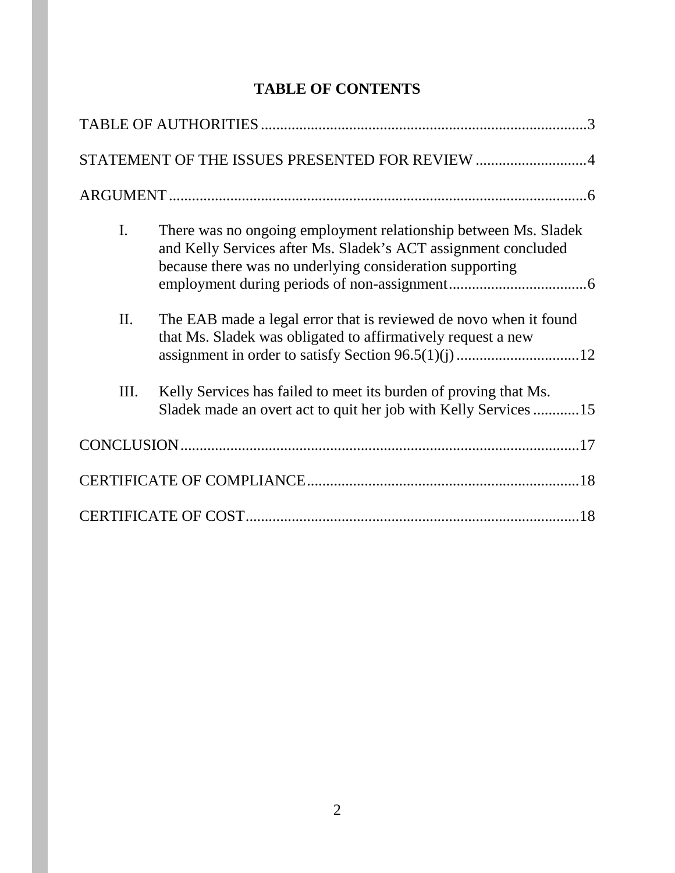# **TABLE OF CONTENTS**

|                | STATEMENT OF THE ISSUES PRESENTED FOR REVIEW 4                                                                                                                                                |
|----------------|-----------------------------------------------------------------------------------------------------------------------------------------------------------------------------------------------|
|                |                                                                                                                                                                                               |
| $\mathbf{I}$ . | There was no ongoing employment relationship between Ms. Sladek<br>and Kelly Services after Ms. Sladek's ACT assignment concluded<br>because there was no underlying consideration supporting |
| II.            | The EAB made a legal error that is reviewed de novo when it found<br>that Ms. Sladek was obligated to affirmatively request a new                                                             |
| III.           | Kelly Services has failed to meet its burden of proving that Ms.<br>Sladek made an overt act to quit her job with Kelly Services 15                                                           |
|                |                                                                                                                                                                                               |
|                |                                                                                                                                                                                               |
|                |                                                                                                                                                                                               |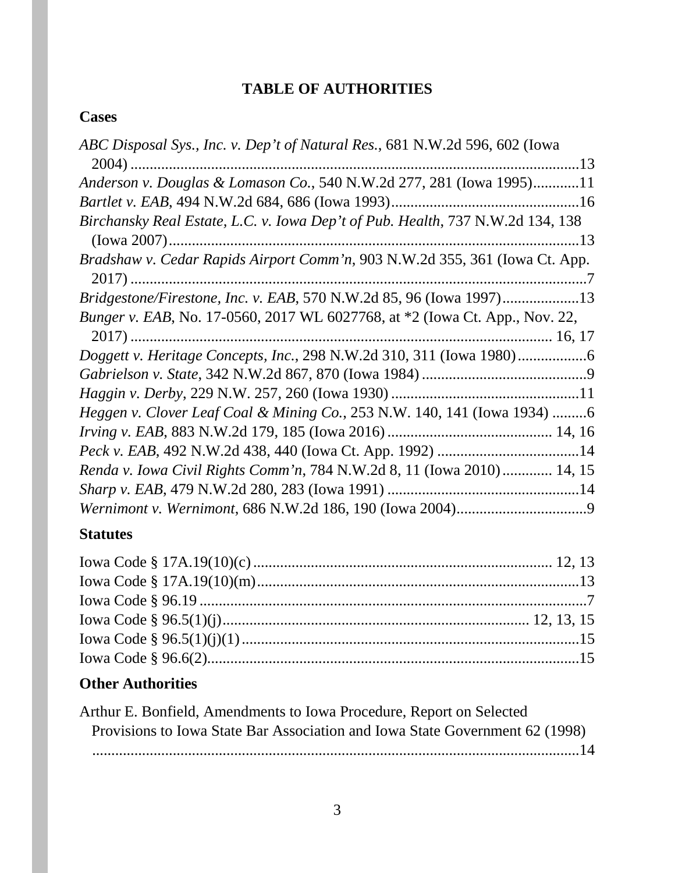# **TABLE OF AUTHORITIES**

# **Cases**

# **Statutes**

# **Other Authorities**

| Arthur E. Bonfield, Amendments to Iowa Procedure, Report on Selected         |
|------------------------------------------------------------------------------|
| Provisions to Iowa State Bar Association and Iowa State Government 62 (1998) |
|                                                                              |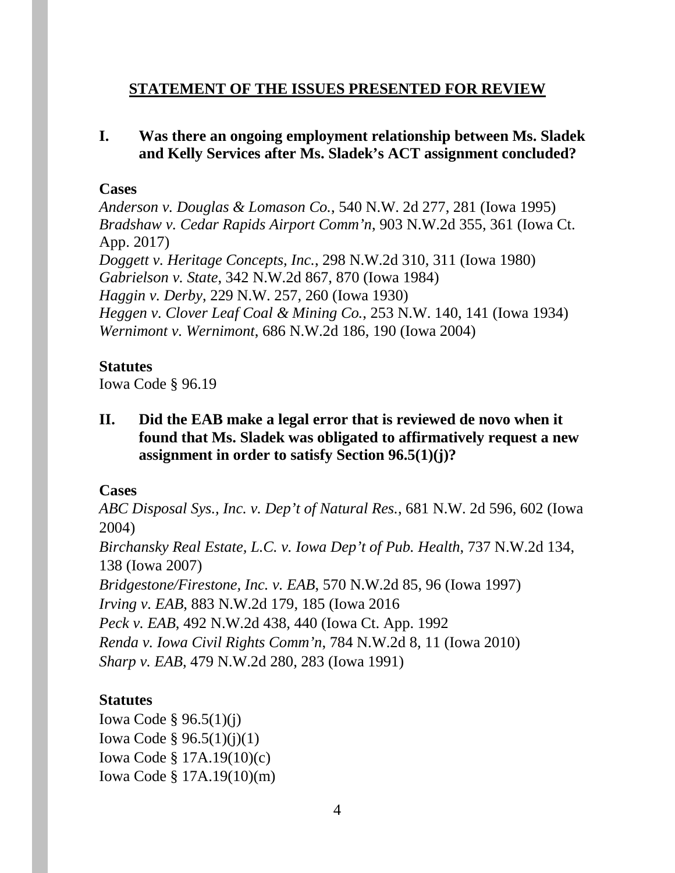# **STATEMENT OF THE ISSUES PRESENTED FOR REVIEW**

# **I. Was there an ongoing employment relationship between Ms. Sladek and Kelly Services after Ms. Sladek's ACT assignment concluded?**

#### **Cases**

*Anderson v. Douglas & Lomason Co.*, 540 N.W. 2d 277, 281 (Iowa 1995) *Bradshaw v. Cedar Rapids Airport Comm'n*, 903 N.W.2d 355, 361 (Iowa Ct. App. 2017) *[Doggett v. Heritage Concepts, Inc.](https://1.next.westlaw.com/Link/Document/FullText?findType=Y&serNum=1980145675&pubNum=0000595&originatingDoc=Icd016f8bff2011d99439b076ef9ec4de&refType=RP&fi=co_pp_sp_595_311&originationContext=document&transitionType=DocumentItem&contextData=(sc.Search)#co_pp_sp_595_311)*, 298 N.W.2d 310, 311 (Iowa 1980) *Gabrielson v. State*, 342 N.W.2d 867, 870 (Iowa 1984) *Haggin v. Derby*, 229 N.W. 257, 260 (Iowa 1930) *Heggen v. Clover Leaf Coal & Mining Co.*, 253 N.W. 140, 141 (Iowa 1934) *Wernimont v. Wernimont*, 686 N.W.2d 186, 190 (Iowa 2004)

## **Statutes**

Iowa Code § 96.19

**II. Did the EAB make a legal error that is reviewed de novo when it found that Ms. Sladek was obligated to affirmatively request a new assignment in order to satisfy Section 96.5(1)(j)?**

# **Cases**

*ABC Disposal Sys., Inc. v. Dep't of Natural Res.*, 681 N.W. 2d 596, 602 (Iowa 2004) *Birchansky Real Estate, L.C. v. Iowa Dep't of Pub. Health*, 737 N.W.2d 134, 138 (Iowa 2007) *Bridgestone/Firestone, Inc. v. EAB*, 570 N.W.2d 85, 96 (Iowa 1997) *Irving v. EAB*, 883 N.W.2d 179, 185 (Iowa 2016 *Peck v. EAB*, 492 N.W.2d 438, 440 (Iowa Ct. App. 1992 *Renda v. Iowa Civil Rights Comm'n*, 784 N.W.2d 8, 11 (Iowa 2010) *Sharp v. EAB*, 479 N.W.2d 280, 283 (Iowa 1991)

# **Statutes**

Iowa Code § 96.5(1)(j) Iowa Code § 96.5(1)(j)(1) Iowa Code § 17A.19(10)(c) Iowa Code § 17A.19(10)(m)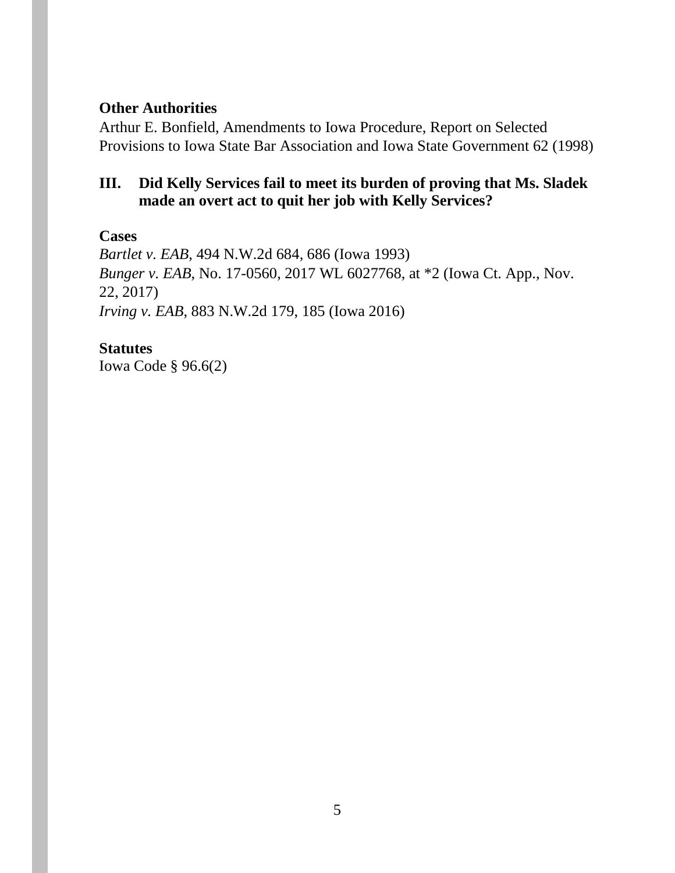## **Other Authorities**

Arthur E. Bonfield, Amendments to Iowa Procedure, Report on Selected Provisions to Iowa State Bar Association and Iowa State Government 62 (1998)

# **III. Did Kelly Services fail to meet its burden of proving that Ms. Sladek made an overt act to quit her job with Kelly Services?**

#### **Cases**

*Bartlet v. EAB*, 494 N.W.2d 684, 686 (Iowa 1993) *Bunger v. EAB*, No. 17-0560, 2017 WL 6027768, at \*2 (Iowa Ct. App., Nov. 22, 2017) *Irving v. EAB*, 883 N.W.2d 179, 185 (Iowa 2016)

#### **Statutes**

Iowa Code § 96.6(2)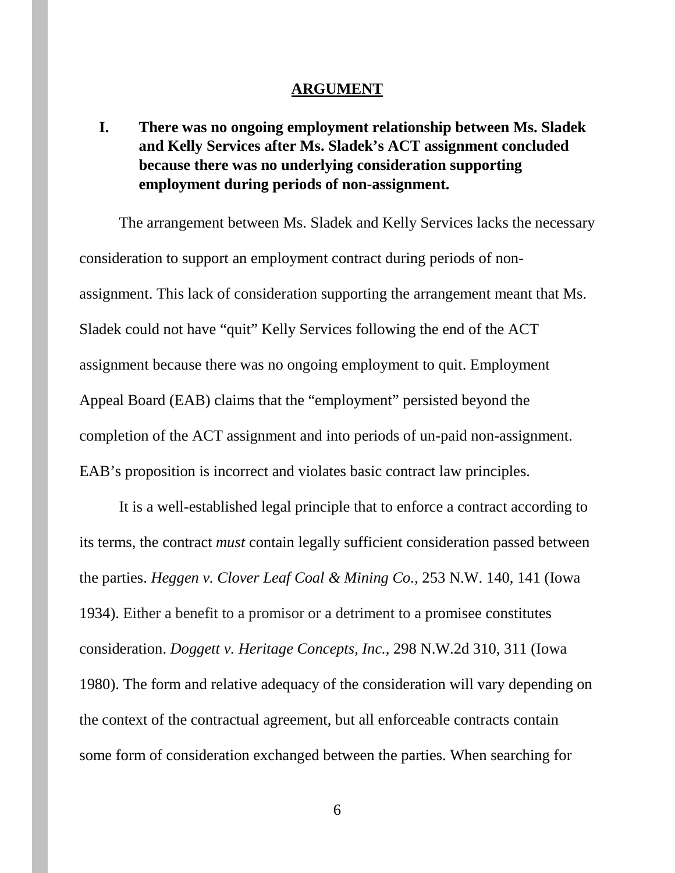#### **ARGUMENT**

**I. There was no ongoing employment relationship between Ms. Sladek and Kelly Services after Ms. Sladek's ACT assignment concluded because there was no underlying consideration supporting employment during periods of non-assignment.** 

The arrangement between Ms. Sladek and Kelly Services lacks the necessary consideration to support an employment contract during periods of nonassignment. This lack of consideration supporting the arrangement meant that Ms. Sladek could not have "quit" Kelly Services following the end of the ACT assignment because there was no ongoing employment to quit. Employment Appeal Board (EAB) claims that the "employment" persisted beyond the completion of the ACT assignment and into periods of un-paid non-assignment. EAB's proposition is incorrect and violates basic contract law principles.

It is a well-established legal principle that to enforce a contract according to its terms, the contract *must* contain legally sufficient consideration passed between the parties. *Heggen v. Clover Leaf Coal & Mining Co.*, 253 N.W. 140, 141 (Iowa 1934). Either a benefit to a promisor or a detriment to a promisee constitutes consideration. *[Doggett v. Heritage Concepts, Inc.](https://1.next.westlaw.com/Link/Document/FullText?findType=Y&serNum=1980145675&pubNum=0000595&originatingDoc=Icd016f8bff2011d99439b076ef9ec4de&refType=RP&fi=co_pp_sp_595_311&originationContext=document&transitionType=DocumentItem&contextData=(sc.Search)#co_pp_sp_595_311)*, 298 N.W.2d 310, 311 (Iowa [1980\).](https://1.next.westlaw.com/Link/Document/FullText?findType=Y&serNum=1980145675&pubNum=0000595&originatingDoc=Icd016f8bff2011d99439b076ef9ec4de&refType=RP&fi=co_pp_sp_595_311&originationContext=document&transitionType=DocumentItem&contextData=(sc.Search)#co_pp_sp_595_311) The form and relative adequacy of the consideration will vary depending on the context of the contractual agreement, but all enforceable contracts contain some form of consideration exchanged between the parties. When searching for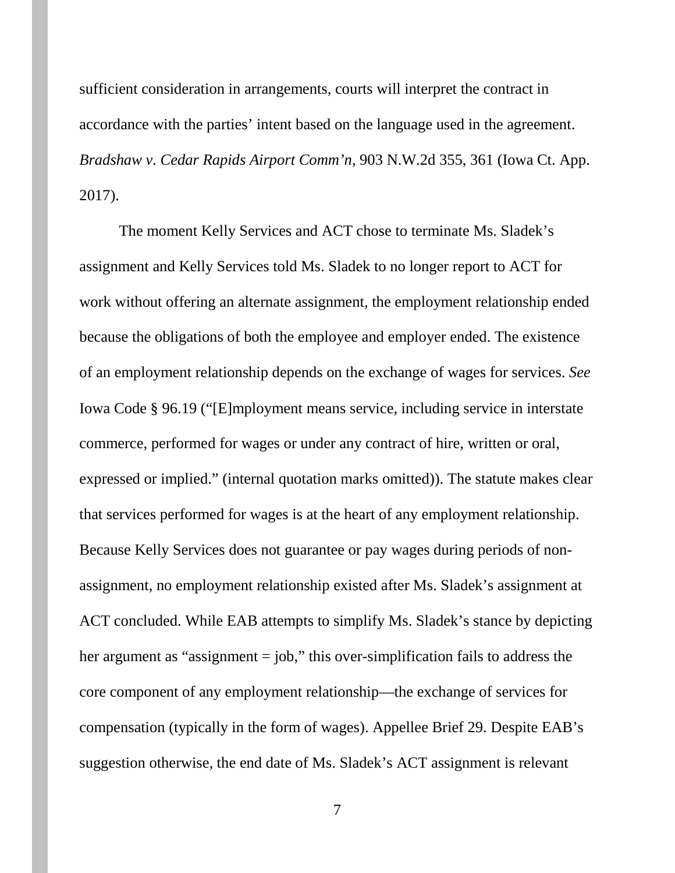sufficient consideration in arrangements, courts will interpret the contract in accordance with the parties' intent based on the language used in the agreement. *Bradshaw v. Cedar Rapids Airport Comm'n*, 903 N.W.2d 355, 361 (Iowa Ct. App. 2017).

The moment Kelly Services and ACT chose to terminate Ms. Sladek's assignment and Kelly Services told Ms. Sladek to no longer report to ACT for work without offering an alternate assignment, the employment relationship ended because the obligations of both the employee and employer ended. The existence of an employment relationship depends on the exchange of wages for services. *See*  Iowa Code § 96.19 ("[E]mployment means service, including service in interstate commerce, performed for wages or under any contract of hire, written or oral, expressed or implied." (internal quotation marks omitted)). The statute makes clear that services performed for wages is at the heart of any employment relationship. Because Kelly Services does not guarantee or pay wages during periods of nonassignment, no employment relationship existed after Ms. Sladek's assignment at ACT concluded. While EAB attempts to simplify Ms. Sladek's stance by depicting her argument as "assignment = job," this over-simplification fails to address the core component of any employment relationship—the exchange of services for compensation (typically in the form of wages). Appellee Brief 29. Despite EAB's suggestion otherwise, the end date of Ms. Sladek's ACT assignment is relevant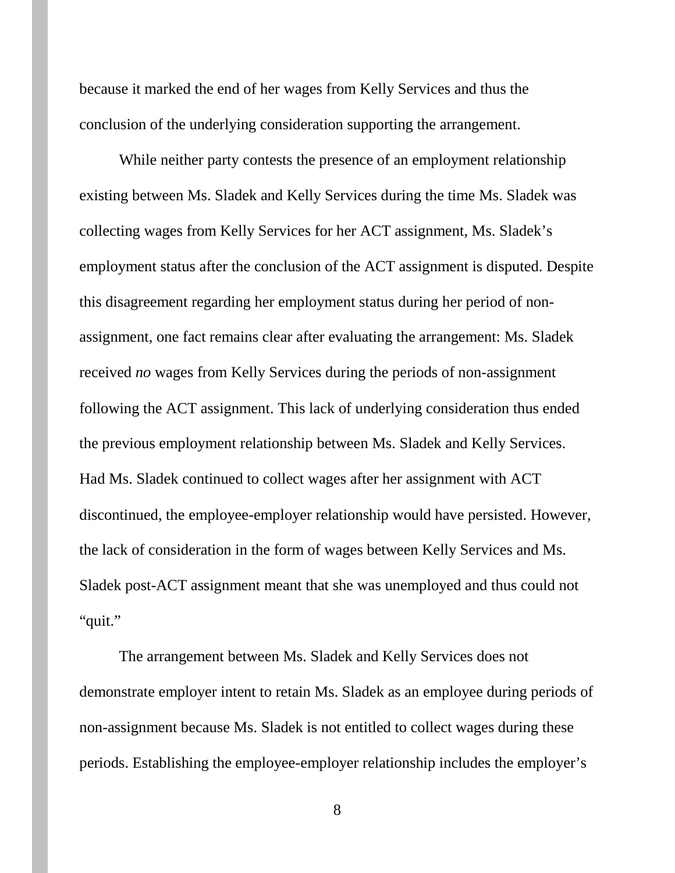because it marked the end of her wages from Kelly Services and thus the conclusion of the underlying consideration supporting the arrangement.

While neither party contests the presence of an employment relationship existing between Ms. Sladek and Kelly Services during the time Ms. Sladek was collecting wages from Kelly Services for her ACT assignment, Ms. Sladek's employment status after the conclusion of the ACT assignment is disputed. Despite this disagreement regarding her employment status during her period of nonassignment, one fact remains clear after evaluating the arrangement: Ms. Sladek received *no* wages from Kelly Services during the periods of non-assignment following the ACT assignment. This lack of underlying consideration thus ended the previous employment relationship between Ms. Sladek and Kelly Services. Had Ms. Sladek continued to collect wages after her assignment with ACT discontinued, the employee-employer relationship would have persisted. However, the lack of consideration in the form of wages between Kelly Services and Ms. Sladek post-ACT assignment meant that she was unemployed and thus could not "quit."

The arrangement between Ms. Sladek and Kelly Services does not demonstrate employer intent to retain Ms. Sladek as an employee during periods of non-assignment because Ms. Sladek is not entitled to collect wages during these periods. Establishing the employee-employer relationship includes the employer's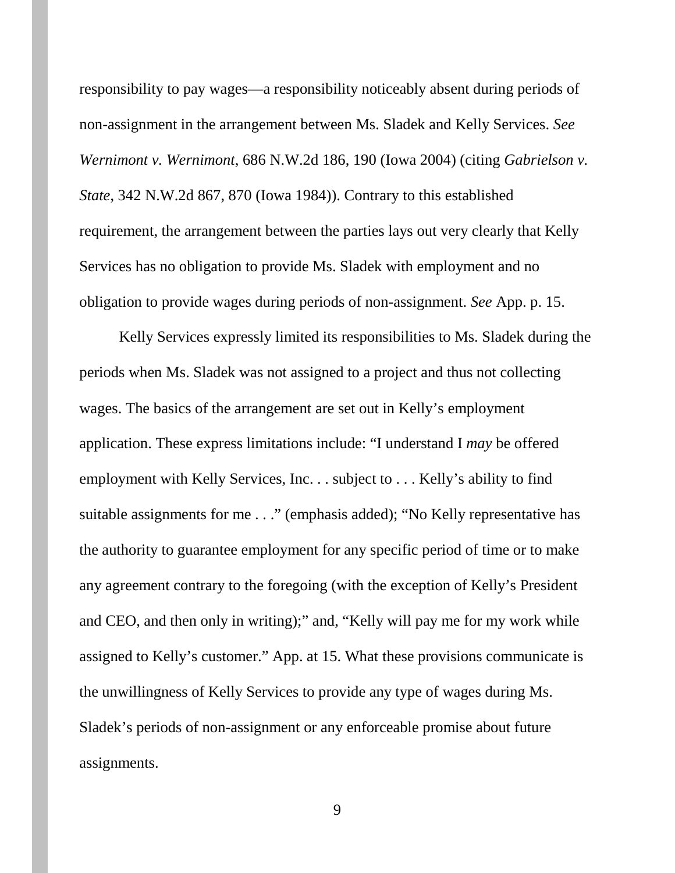responsibility to pay wages—a responsibility noticeably absent during periods of non-assignment in the arrangement between Ms. Sladek and Kelly Services. *See Wernimont v. Wernimont*, 686 N.W.2d 186, 190 (Iowa 2004) (citing *Gabrielson v. State*, 342 N.W.2d 867, 870 (Iowa 1984)). Contrary to this established requirement, the arrangement between the parties lays out very clearly that Kelly Services has no obligation to provide Ms. Sladek with employment and no obligation to provide wages during periods of non-assignment. *See* App. p. 15.

Kelly Services expressly limited its responsibilities to Ms. Sladek during the periods when Ms. Sladek was not assigned to a project and thus not collecting wages. The basics of the arrangement are set out in Kelly's employment application. These express limitations include: "I understand I *may* be offered employment with Kelly Services, Inc. . . subject to . . . Kelly's ability to find suitable assignments for me . . ." (emphasis added); "No Kelly representative has the authority to guarantee employment for any specific period of time or to make any agreement contrary to the foregoing (with the exception of Kelly's President and CEO, and then only in writing);" and, "Kelly will pay me for my work while assigned to Kelly's customer." App. at 15. What these provisions communicate is the unwillingness of Kelly Services to provide any type of wages during Ms. Sladek's periods of non-assignment or any enforceable promise about future assignments.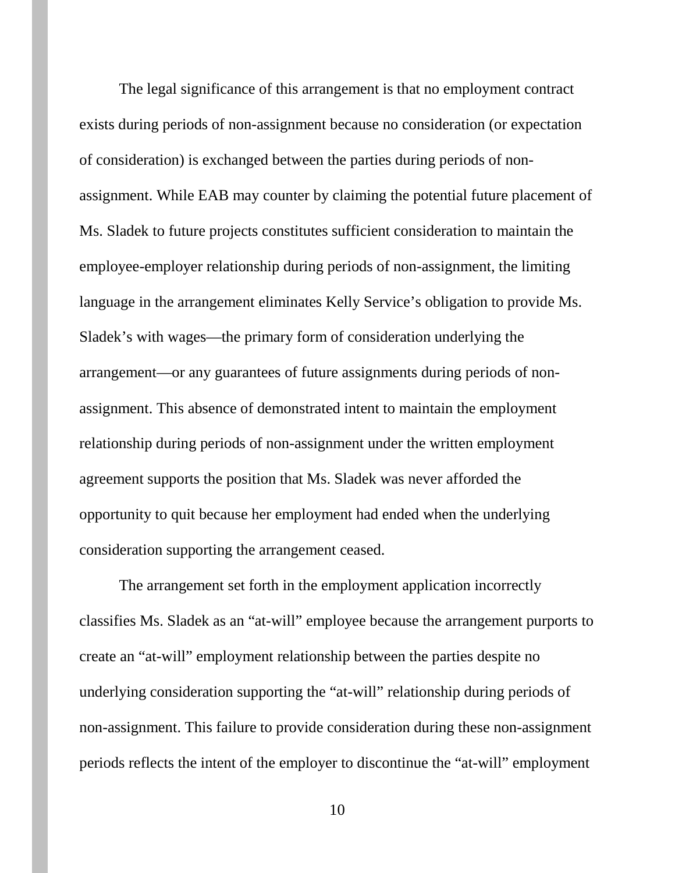The legal significance of this arrangement is that no employment contract exists during periods of non-assignment because no consideration (or expectation of consideration) is exchanged between the parties during periods of nonassignment. While EAB may counter by claiming the potential future placement of Ms. Sladek to future projects constitutes sufficient consideration to maintain the employee-employer relationship during periods of non-assignment, the limiting language in the arrangement eliminates Kelly Service's obligation to provide Ms. Sladek's with wages—the primary form of consideration underlying the arrangement—or any guarantees of future assignments during periods of nonassignment. This absence of demonstrated intent to maintain the employment relationship during periods of non-assignment under the written employment agreement supports the position that Ms. Sladek was never afforded the opportunity to quit because her employment had ended when the underlying consideration supporting the arrangement ceased.

The arrangement set forth in the employment application incorrectly classifies Ms. Sladek as an "at-will" employee because the arrangement purports to create an "at-will" employment relationship between the parties despite no underlying consideration supporting the "at-will" relationship during periods of non-assignment. This failure to provide consideration during these non-assignment periods reflects the intent of the employer to discontinue the "at-will" employment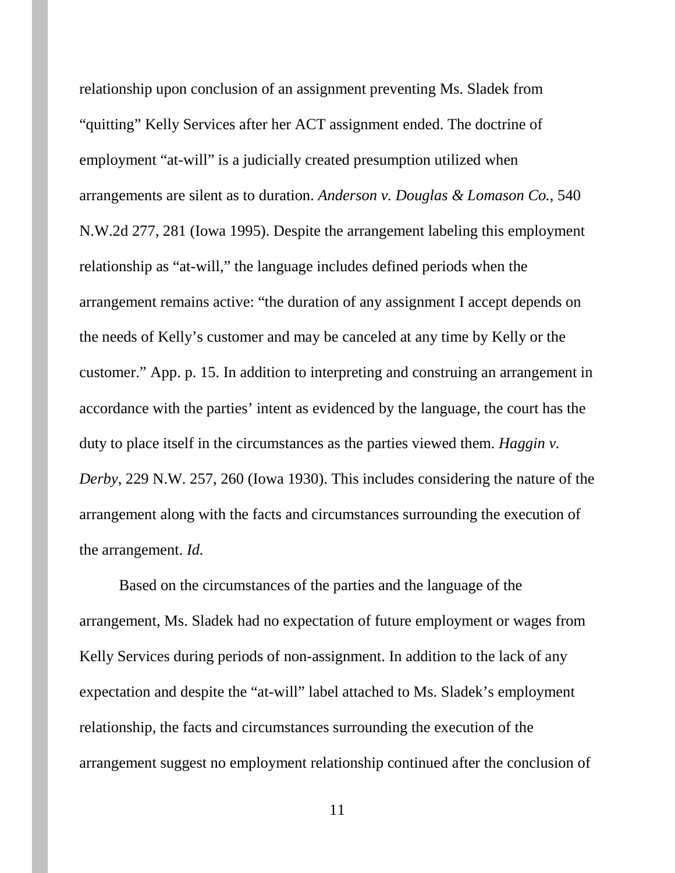relationship upon conclusion of an assignment preventing Ms. Sladek from "quitting" Kelly Services after her ACT assignment ended. The doctrine of employment "at-will" is a judicially created presumption utilized when arrangements are silent as to duration. *Anderson v. Douglas & Lomason Co.*, 540 N.W.2d 277, 281 (Iowa 1995). Despite the arrangement labeling this employment relationship as "at-will," the language includes defined periods when the arrangement remains active: "the duration of any assignment I accept depends on the needs of Kelly's customer and may be canceled at any time by Kelly or the customer." App. p. 15. In addition to interpreting and construing an arrangement in accordance with the parties' intent as evidenced by the language, the court has the duty to place itself in the circumstances as the parties viewed them. *Haggin v. Derby*, 229 N.W. 257, 260 (Iowa 1930). This includes considering the nature of the arrangement along with the facts and circumstances surrounding the execution of the arrangement. *Id.*

Based on the circumstances of the parties and the language of the arrangement, Ms. Sladek had no expectation of future employment or wages from Kelly Services during periods of non-assignment. In addition to the lack of any expectation and despite the "at-will" label attached to Ms. Sladek's employment relationship, the facts and circumstances surrounding the execution of the arrangement suggest no employment relationship continued after the conclusion of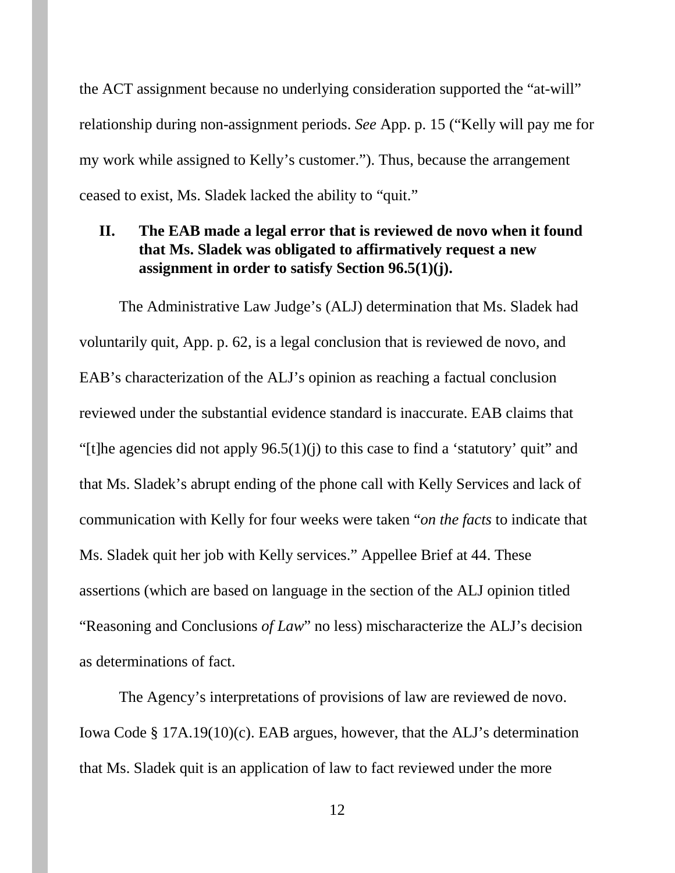the ACT assignment because no underlying consideration supported the "at-will" relationship during non-assignment periods. *See* App. p. 15 ("Kelly will pay me for my work while assigned to Kelly's customer."). Thus, because the arrangement ceased to exist, Ms. Sladek lacked the ability to "quit."

# **II. The EAB made a legal error that is reviewed de novo when it found that Ms. Sladek was obligated to affirmatively request a new assignment in order to satisfy Section 96.5(1)(j).**

The Administrative Law Judge's (ALJ) determination that Ms. Sladek had voluntarily quit, App. p. 62, is a legal conclusion that is reviewed de novo, and EAB's characterization of the ALJ's opinion as reaching a factual conclusion reviewed under the substantial evidence standard is inaccurate. EAB claims that "[t]he agencies did not apply  $96.5(1)(i)$  to this case to find a 'statutory' quit" and that Ms. Sladek's abrupt ending of the phone call with Kelly Services and lack of communication with Kelly for four weeks were taken "*on the facts* to indicate that Ms. Sladek quit her job with Kelly services." Appellee Brief at 44. These assertions (which are based on language in the section of the ALJ opinion titled "Reasoning and Conclusions *of Law*" no less) mischaracterize the ALJ's decision as determinations of fact.

The Agency's interpretations of provisions of law are reviewed de novo. Iowa Code § 17A.19(10)(c). EAB argues, however, that the ALJ's determination that Ms. Sladek quit is an application of law to fact reviewed under the more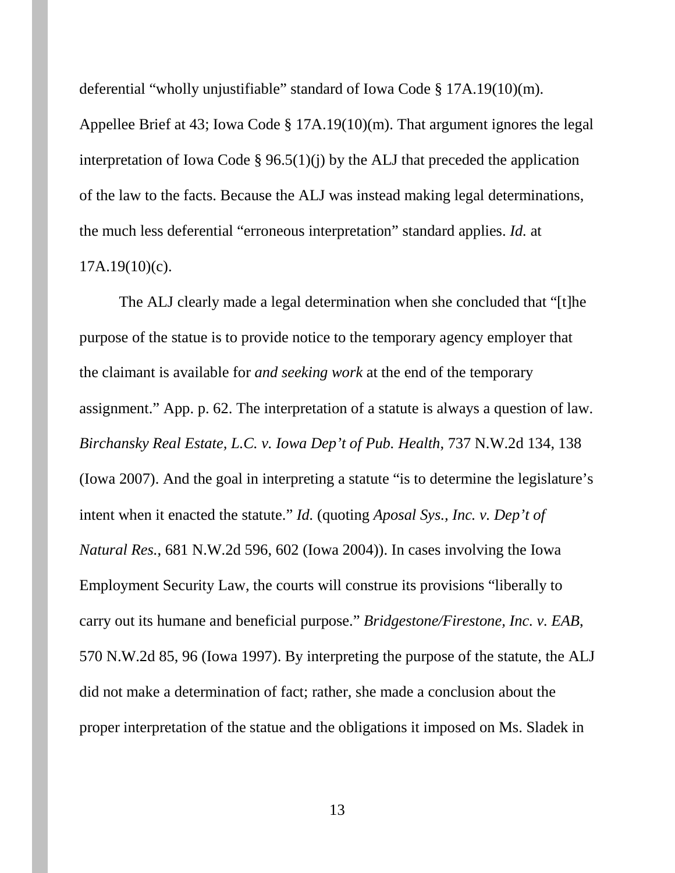deferential "wholly unjustifiable" standard of Iowa Code § 17A.19(10)(m).

Appellee Brief at 43; Iowa Code § 17A.19(10)(m). That argument ignores the legal interpretation of Iowa Code § 96.5(1)(j) by the ALJ that preceded the application of the law to the facts. Because the ALJ was instead making legal determinations, the much less deferential "erroneous interpretation" standard applies. *Id.* at  $17A.19(10)(c)$ .

The ALJ clearly made a legal determination when she concluded that "[t]he purpose of the statue is to provide notice to the temporary agency employer that the claimant is available for *and seeking work* at the end of the temporary assignment." App. p. 62. The interpretation of a statute is always a question of law. *Birchansky Real Estate, L.C. v. Iowa Dep't of Pub. Health*, 737 N.W.2d 134, 138 (Iowa 2007). And the goal in interpreting a statute "is to determine the legislature's intent when it enacted the statute." *Id.* (quoting *Aposal Sys., Inc. v. Dep't of Natural Res.*, 681 N.W.2d 596, 602 (Iowa 2004)). In cases involving the Iowa Employment Security Law, the courts will construe its provisions "liberally to carry out its humane and beneficial purpose." *Bridgestone/Firestone, Inc. v. EAB*, 570 N.W.2d 85, 96 (Iowa 1997). By interpreting the purpose of the statute, the ALJ did not make a determination of fact; rather, she made a conclusion about the proper interpretation of the statue and the obligations it imposed on Ms. Sladek in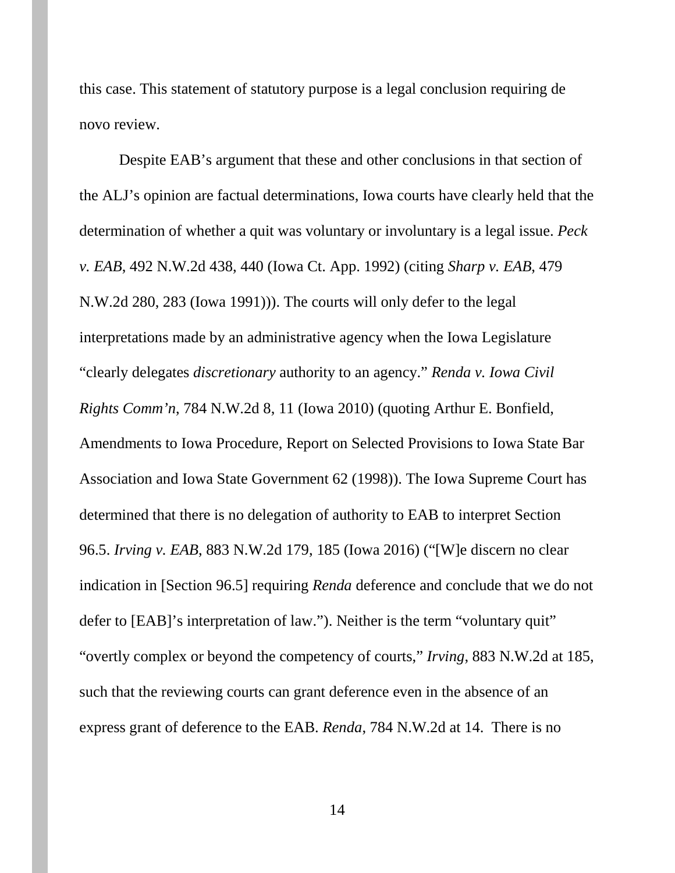this case. This statement of statutory purpose is a legal conclusion requiring de novo review.

Despite EAB's argument that these and other conclusions in that section of the ALJ's opinion are factual determinations, Iowa courts have clearly held that the determination of whether a quit was voluntary or involuntary is a legal issue. *Peck v. EAB*, 492 N.W.2d 438, 440 (Iowa Ct. App. 1992) (citing *Sharp v. EAB*, 479 N.W.2d 280, 283 (Iowa 1991))). The courts will only defer to the legal interpretations made by an administrative agency when the Iowa Legislature "clearly delegates *discretionary* authority to an agency." *Renda v. Iowa Civil Rights Comm'n*, 784 N.W.2d 8, 11 (Iowa 2010) (quoting Arthur E. Bonfield, Amendments to Iowa Procedure, Report on Selected Provisions to Iowa State Bar Association and Iowa State Government 62 (1998)). The Iowa Supreme Court has determined that there is no delegation of authority to EAB to interpret Section 96.5. *Irving v. EAB*, 883 N.W.2d 179, 185 (Iowa 2016) ("[W]e discern no clear indication in [Section 96.5] requiring *Renda* deference and conclude that we do not defer to [EAB]'s interpretation of law."). Neither is the term "voluntary quit" "overtly complex or beyond the competency of courts," *Irving*, 883 N.W.2d at 185, such that the reviewing courts can grant deference even in the absence of an express grant of deference to the EAB. *Renda*, 784 N.W.2d at 14. There is no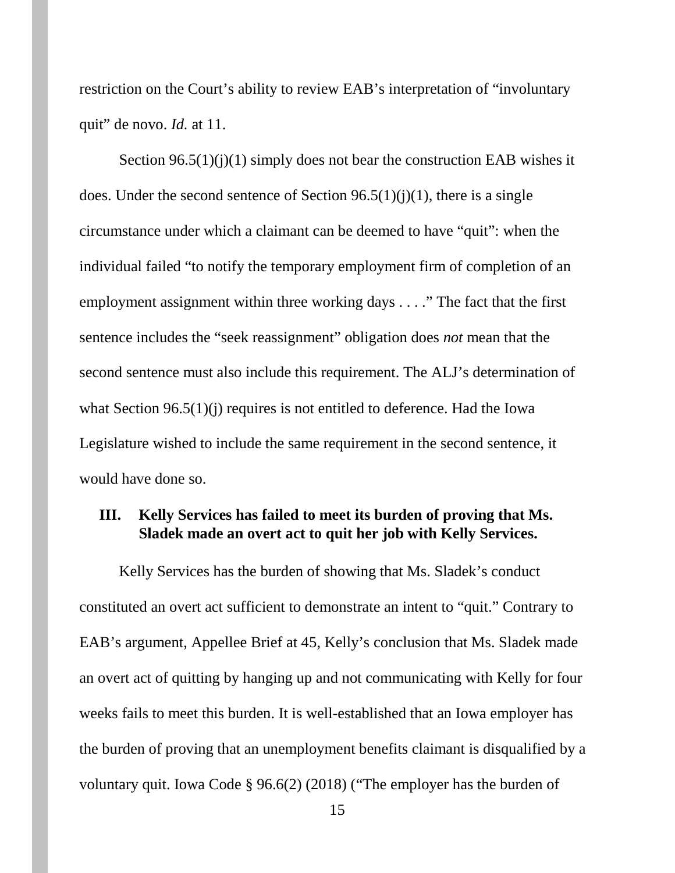restriction on the Court's ability to review EAB's interpretation of "involuntary quit" de novo. *Id.* at 11.

Section  $96.5(1)(i)(1)$  simply does not bear the construction EAB wishes it does. Under the second sentence of Section  $96.5(1)(i)(1)$ , there is a single circumstance under which a claimant can be deemed to have "quit": when the individual failed "to notify the temporary employment firm of completion of an employment assignment within three working days . . . ." The fact that the first sentence includes the "seek reassignment" obligation does *not* mean that the second sentence must also include this requirement. The ALJ's determination of what Section 96.5(1)(j) requires is not entitled to deference. Had the Iowa Legislature wished to include the same requirement in the second sentence, it would have done so.

# **III. Kelly Services has failed to meet its burden of proving that Ms. Sladek made an overt act to quit her job with Kelly Services.**

Kelly Services has the burden of showing that Ms. Sladek's conduct constituted an overt act sufficient to demonstrate an intent to "quit." Contrary to EAB's argument, Appellee Brief at 45, Kelly's conclusion that Ms. Sladek made an overt act of quitting by hanging up and not communicating with Kelly for four weeks fails to meet this burden. It is well-established that an Iowa employer has the burden of proving that an unemployment benefits claimant is disqualified by a voluntary quit. Iowa Code § 96.6(2) (2018) ("The employer has the burden of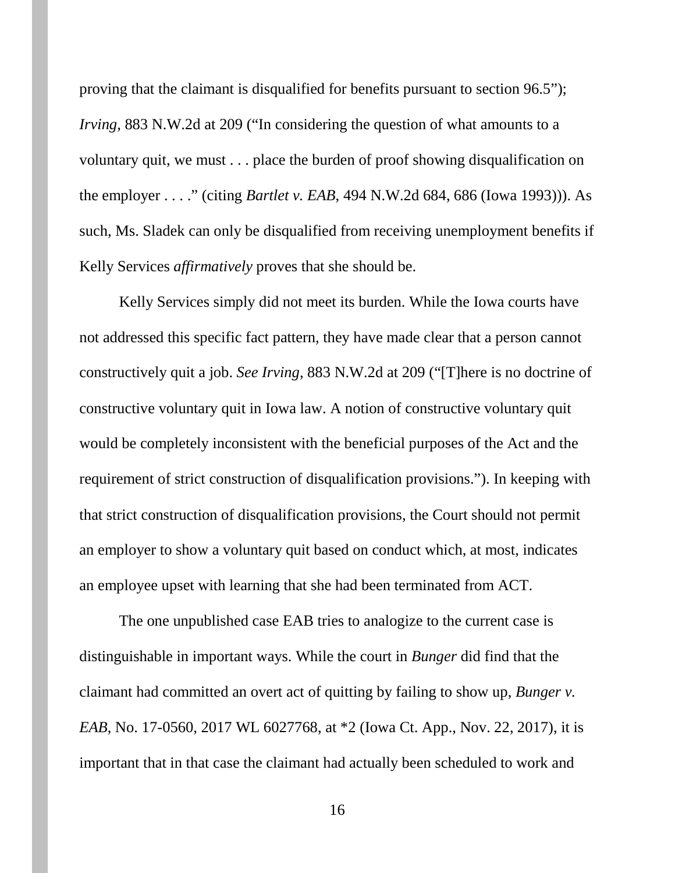proving that the claimant is disqualified for benefits pursuant to section 96.5"); *Irving*, 883 N.W.2d at 209 ("In considering the question of what amounts to a voluntary quit, we must . . . place the burden of proof showing disqualification on the employer . . . ." (citing *Bartlet v. EAB*, 494 N.W.2d 684, 686 (Iowa 1993))). As such, Ms. Sladek can only be disqualified from receiving unemployment benefits if Kelly Services *affirmatively* proves that she should be.

Kelly Services simply did not meet its burden. While the Iowa courts have not addressed this specific fact pattern, they have made clear that a person cannot constructively quit a job. *See Irving*, 883 N.W.2d at 209 ("[T]here is no doctrine of constructive voluntary quit in Iowa law. A notion of constructive voluntary quit would be completely inconsistent with the beneficial purposes of the Act and the requirement of strict construction of disqualification provisions."). In keeping with that strict construction of disqualification provisions, the Court should not permit an employer to show a voluntary quit based on conduct which, at most, indicates an employee upset with learning that she had been terminated from ACT.

The one unpublished case EAB tries to analogize to the current case is distinguishable in important ways. While the court in *Bunger* did find that the claimant had committed an overt act of quitting by failing to show up, *Bunger v. EAB*, No. 17-0560, 2017 WL 6027768, at \*2 (Iowa Ct. App., Nov. 22, 2017), it is important that in that case the claimant had actually been scheduled to work and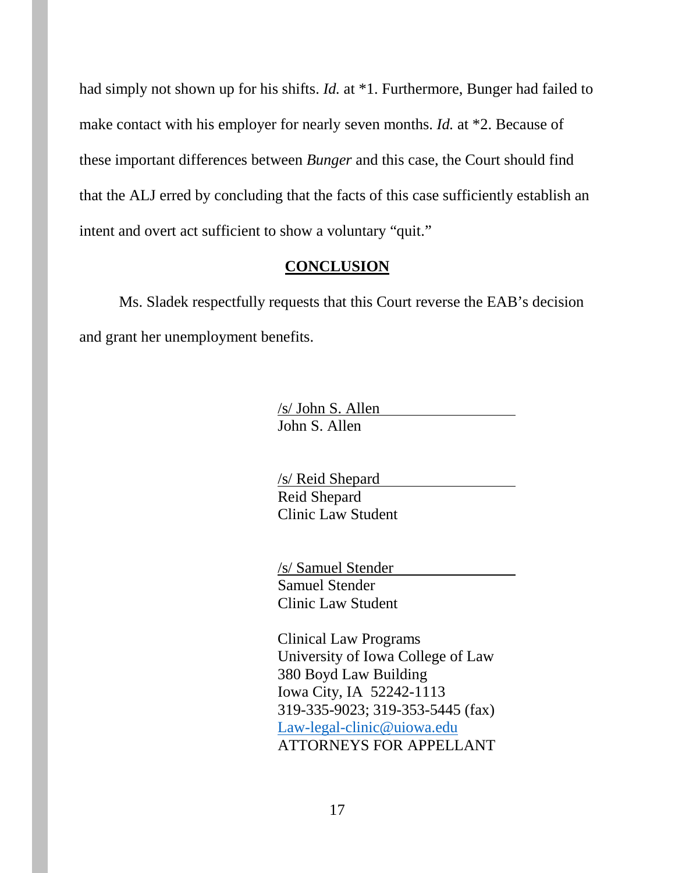had simply not shown up for his shifts. *Id.* at \*1. Furthermore, Bunger had failed to make contact with his employer for nearly seven months. *Id.* at \*2. Because of these important differences between *Bunger* and this case, the Court should find that the ALJ erred by concluding that the facts of this case sufficiently establish an intent and overt act sufficient to show a voluntary "quit."

#### **CONCLUSION**

Ms. Sladek respectfully requests that this Court reverse the EAB's decision and grant her unemployment benefits.

> /s/ John S. Allen John S. Allen

/s/ Reid Shepard Reid Shepard Clinic Law Student

/s/ Samuel Stender Samuel Stender Clinic Law Student

Clinical Law Programs University of Iowa College of Law 380 Boyd Law Building Iowa City, IA 52242-1113 319-335-9023; 319-353-5445 (fax) [Law-legal-clinic@uiowa.edu](mailto:Law-legal-clinic@uiowa.edu) ATTORNEYS FOR APPELLANT